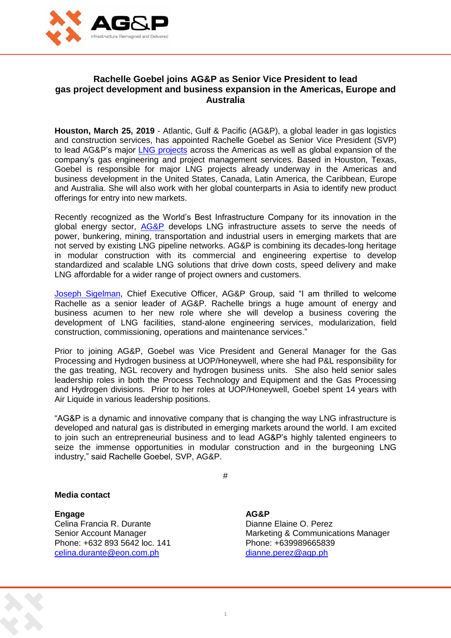

## **Rachelle Goebel joins AG&P as Senior Vice President to lead gas project development and business expansion in the Americas, Europe and Australia**

**Houston, March 25, 2019** - Atlantic, Gulf & Pacific (AG&P), a global leader in gas logistics and construction services, has appointed Rachelle Goebel as Senior Vice President (SVP) to lead AG&P's major [LNG projects](http://agp.ph/) across the Americas as well as global expansion of the company's gas engineering and project management services. Based in Houston, Texas, Goebel is responsible for major LNG projects already underway in the Americas and business development in the United States, Canada, Latin America, the Caribbean, Europe and Australia. She will also work with her global counterparts in Asia to identify new product offerings for entry into new markets.

Recently recognized as the World's Best Infrastructure Company for its innovation in the global energy sector, **[AG&P](http://agp.ph/)** develops LNG infrastructure assets to serve the needs of power, bunkering, mining, transportation and industrial users in emerging markets that are not served by existing LNG pipeline networks. AG&P is combining its decades-long heritage in modular construction with its commercial and engineering expertise to develop standardized and scalable LNG solutions that drive down costs, speed delivery and make LNG affordable for a wider range of project owners and customers.

[Joseph Sigelman,](http://agp.ph/) Chief Executive Officer, AG&P Group, said "I am thrilled to welcome Rachelle as a senior leader of AG&P. Rachelle brings a huge amount of energy and business acumen to her new role where she will develop a business covering the development of LNG facilities, stand-alone engineering services, modularization, field construction, commissioning, operations and maintenance services."

Prior to joining AG&P, Goebel was Vice President and General Manager for the Gas Processing and Hydrogen business at UOP/Honeywell, where she had P&L responsibility for the gas treating, NGL recovery and hydrogen business units. She also held senior sales leadership roles in both the Process Technology and Equipment and the Gas Processing and Hydrogen divisions. Prior to her roles at UOP/Honeywell, Goebel spent 14 years with Air Liquide in various leadership positions.

"AG&P is a dynamic and innovative company that is changing the way LNG infrastructure is developed and natural gas is distributed in emerging markets around the world. I am excited to join such an entrepreneurial business and to lead AG&P's highly talented engineers to seize the immense opportunities in modular construction and in the burgeoning LNG industry," said Rachelle Goebel, SVP, AG&P.

#

1

## **Media contact**

**Engage AG&P** Celina Francia R. Durante **Dianne Elaine O. Perez** Phone: +632 893 5642 loc. 141 [celina.durante@eon.com.ph](mailto:celina.durante@eon.com.ph) [dianne.perez@agp.ph](mailto:dianne.perez@agp.ph)

Senior Account Manager Marketing & Communications Manager<br>
Phone: +632 893 5642 loc. 141 Marketing & Communications Manager<br>
Phone: +639989665839